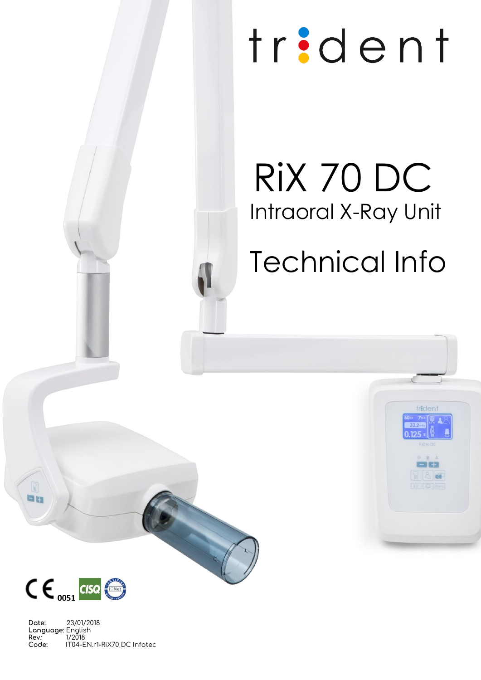# $T_{\rm max}$  $\overline{\phantom{0}}$ Technical Info

# RiX 70 DC Intraoral X-Ray Unit

Technical Info

triden



 $\sqrt{a}$ be

**Date:** 23/01/2018 **Language**: English **Rev:** 1/2018<br>**Code:** IT04-E **Code:** IT04-EN.r1-RiX70 DC Infotec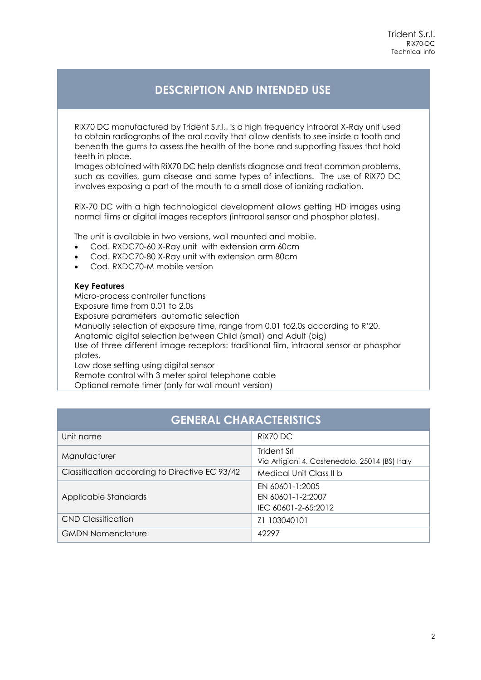## **DESCRIPTION AND INTENDED USE**

RiX70 DC manufactured by Trident S.r.l., is a high frequency intraoral X-Ray unit used to obtain radiographs of the oral cavity that allow dentists to see inside a tooth and beneath the gums to assess the health of the bone and supporting tissues that hold teeth in place.

Images obtained with RiX70 DC help dentists diagnose and treat common problems, such as cavities, gum disease and some types of infections. The use of RiX70 DC involves exposing a part of the mouth to a small dose of ionizing radiation.

RiX-70 DC with a high technological development allows getting HD images using normal films or digital images receptors (intraoral sensor and phosphor plates).

The unit is available in two versions, wall mounted and mobile.

- Cod. RXDC70-60 X-Ray unit with extension arm 60cm
- Cod. RXDC70-80 X-Ray unit with extension arm 80cm
- Cod. RXDC70-M mobile version

#### **Key Features**

Micro-process controller functions Exposure time from 0.01 to 2.0s Exposure parameters automatic selection Manually selection of exposure time, range from 0.01 to2.0s according to R'20. Anatomic digital selection between Child (small) and Adult (big) Use of three different image receptors: traditional film, intraoral sensor or phosphor plates.

Low dose setting using digital sensor

Remote control with 3 meter spiral telephone cable Optional remote timer (only for wall mount version)

### **GENERAL CHARACTERISTICS**

| Unit name                                      | RIX70 DC                                                      |
|------------------------------------------------|---------------------------------------------------------------|
| Manufacturer                                   | Trident Srl<br>Via Artigiani 4, Castenedolo, 25014 (BS) Italy |
| Classification according to Directive EC 93/42 | Medical Unit Class II b                                       |
| Applicable Standards                           | EN 60601-1:2005<br>EN 60601-1-2:2007<br>IEC 60601-2-65:2012   |
| CND Classification                             | Z1 103040101                                                  |
| <b>GMDN Nomenclature</b>                       | 42297                                                         |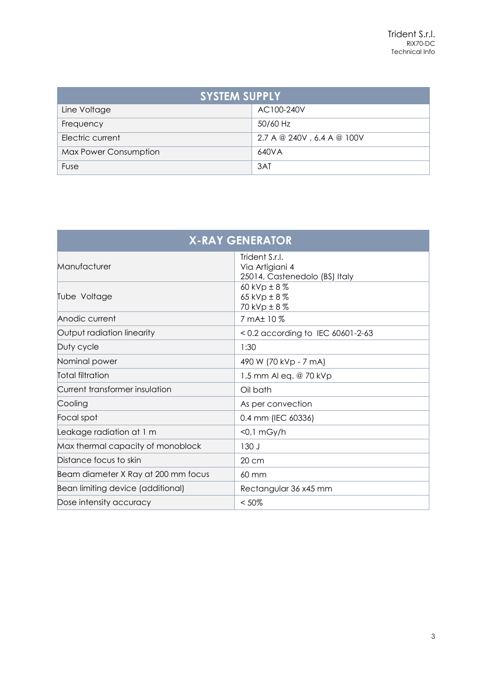| <b>SYSTEM SUPPLY</b>         |                            |  |
|------------------------------|----------------------------|--|
| Line Voltage                 | AC100-240V                 |  |
| Frequency                    | 50/60 Hz                   |  |
| Electric current             | 2.7 A @ 240V, 6.4 A @ 100V |  |
| <b>Max Power Consumption</b> | 640VA                      |  |
| Fuse                         | 3AT                        |  |

| <b>X-RAY GENERATOR</b>              |                                                                    |  |
|-------------------------------------|--------------------------------------------------------------------|--|
| Manufacturer                        | Trident S.r.l.<br>Via Artigiani 4<br>25014, Castenedolo (BS) Italy |  |
| Tube Voltage                        | 60 kVp $\pm$ 8 $\%$<br>65 kVp $\pm$ 8%<br>70 kVp ± 8%              |  |
| Anodic current                      | 7 mA± 10 %                                                         |  |
| Output radiation linearity          | < 0.2 according to IEC 60601-2-63                                  |  |
| Duty cycle                          | 1:30                                                               |  |
| Nominal power                       | 490 W (70 kVp - 7 mA)                                              |  |
| <b>Total filtration</b>             | 1.5 mm Al eq. @ 70 kVp                                             |  |
| Current transformer insulation      | Oil bath                                                           |  |
| Cooling                             | As per convection                                                  |  |
| Focal spot                          | 0.4 mm (IEC 60336)                                                 |  |
| Leakage radiation at 1 m            | $<$ 0,1 mGy/h                                                      |  |
| Max thermal capacity of monoblock   | 130 J                                                              |  |
| Distance focus to skin              | 20 cm                                                              |  |
| Beam diameter X Ray at 200 mm focus | 60 mm                                                              |  |
| Bean limiting device (additional)   | Rectangular 36 x45 mm                                              |  |
| Dose intensity accuracy             | $< 50\%$                                                           |  |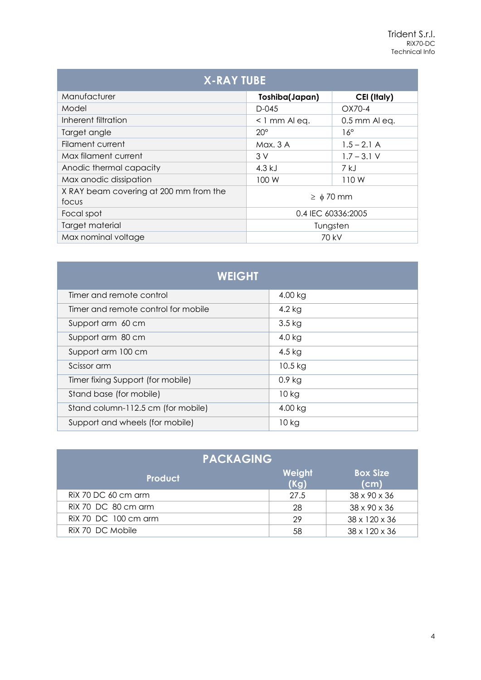| <b>X-RAY TUBE</b>                               |                    |                    |
|-------------------------------------------------|--------------------|--------------------|
| Manufacturer                                    | Toshiba(Japan)     | CEI (Italy)        |
| Model                                           | $D-045$            | OX70-4             |
| Inherent filtration                             | $\leq$ 1 mm Al eq. | $0.5$ mm Al eq.    |
| Target angle                                    | $20^{\circ}$       | $16^{\circ}$       |
| <b>Filament current</b>                         | Max. 3 A           | $1.5 - 2.1$ A      |
| Max filament current                            | 3V                 | $1.7 - 3.1$ V      |
| Anodic thermal capacity                         | 4.3 kJ             | 7 kJ               |
| Max anodic dissipation                          | 100 W              | 110W               |
| X RAY beam covering at 200 mm from the<br>focus | $\geq \phi$ 70 mm  |                    |
| Focal spot                                      |                    | 0.4 IEC 60336:2005 |
| Target material                                 | Tungsten           |                    |
| Max nominal voltage                             | 70 kV              |                    |

| <b>WEIGHT</b>                       |           |  |
|-------------------------------------|-----------|--|
| Timer and remote control            | 4.00 kg   |  |
| Timer and remote control for mobile | $4.2$ kg  |  |
| Support arm 60 cm                   | $3.5$ kg  |  |
| Support arm 80 cm                   | $4.0$ kg  |  |
| Support arm 100 cm                  | 4.5 $kg$  |  |
| Scissor arm                         | $10.5$ kg |  |
| Timer fixing Support (for mobile)   | $0.9$ kg  |  |
| Stand base (for mobile)             | $10$ kg   |  |
| Stand column-112.5 cm (for mobile)  | 4.00 kg   |  |
| Support and wheels (for mobile)     | $10$ kg   |  |

| <b>PACKAGING</b>     |                |                         |  |
|----------------------|----------------|-------------------------|--|
| <b>Product</b>       | Weight<br>(Kg) | <b>Box Size</b><br>(cm) |  |
| RIX 70 DC 60 cm arm  | 27.5           | 38 x 90 x 36            |  |
| RiX 70 DC 80 cm arm  | 28             | 38 x 90 x 36            |  |
| RiX 70 DC 100 cm arm | 29             | 38 x 120 x 36           |  |
| RIX 70 DC Mobile     | 58             | 38 x 120 x 36           |  |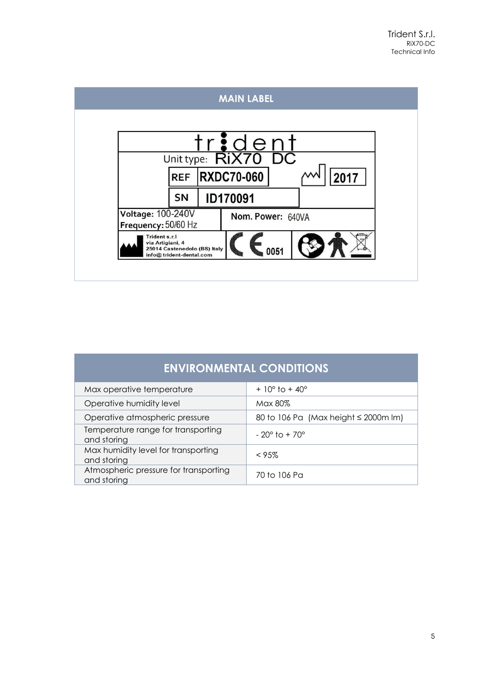

| <b>ENVIRONMENTAL CONDITIONS</b>                      |                                           |  |
|------------------------------------------------------|-------------------------------------------|--|
| Max operative temperature                            | $+10^{\circ}$ to $+40^{\circ}$            |  |
| Operative humidity level                             | Max 80%                                   |  |
| Operative atmospheric pressure                       | 80 to 106 Pa (Max height $\leq$ 2000m lm) |  |
| Temperature range for transporting<br>and storing    | $-20^{\circ}$ to + 70°                    |  |
| Max humidity level for transporting<br>and storing   | $< 95\%$                                  |  |
| Atmospheric pressure for transporting<br>and storing | 70 to 106 Pa                              |  |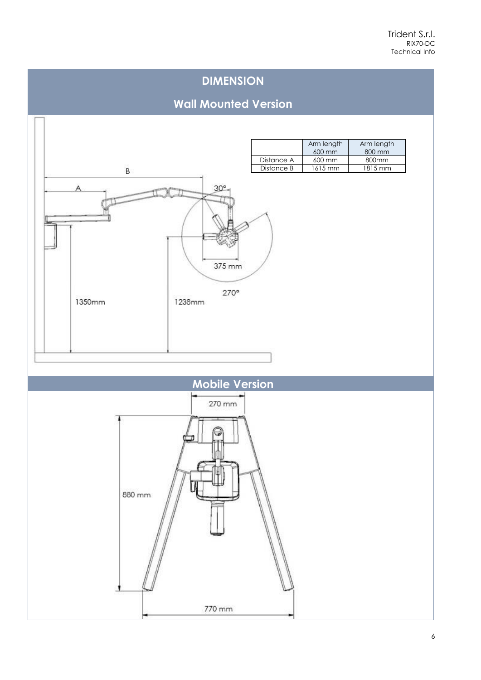## **DIMENSION**

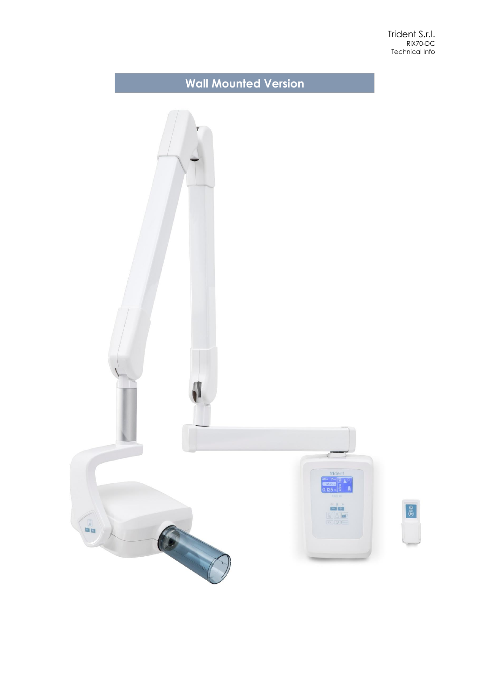Trident S.r.l. RiX70-DC Technical Info

# **Wall Mounted Version**